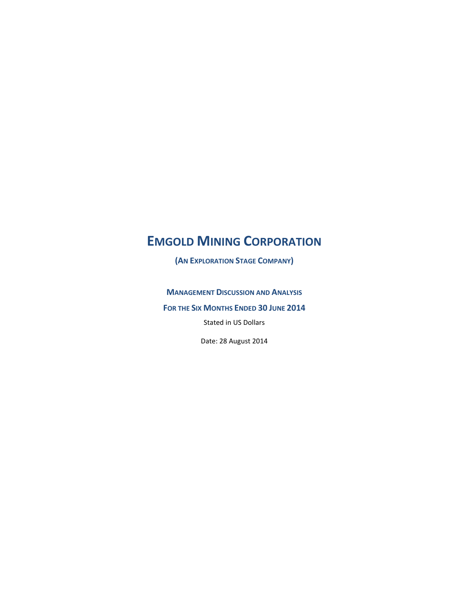**(AN EXPLORATION STAGE COMPANY)**

**MANAGEMENT DISCUSSION AND ANALYSIS**

**FOR THE SIX MONTHS ENDED 30 JUNE 2014**

Stated in US Dollars

Date: 28 August 2014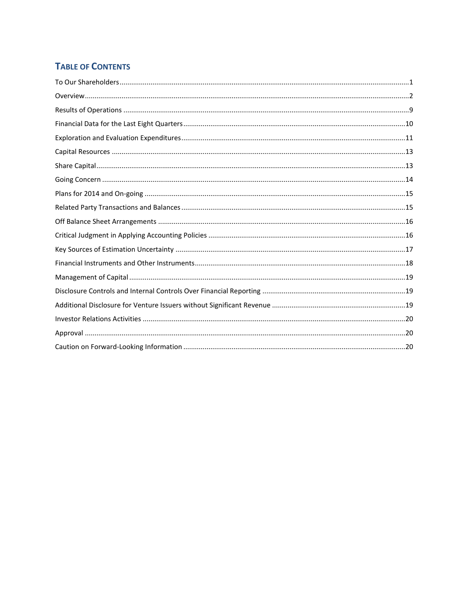# **TABLE OF CONTENTS**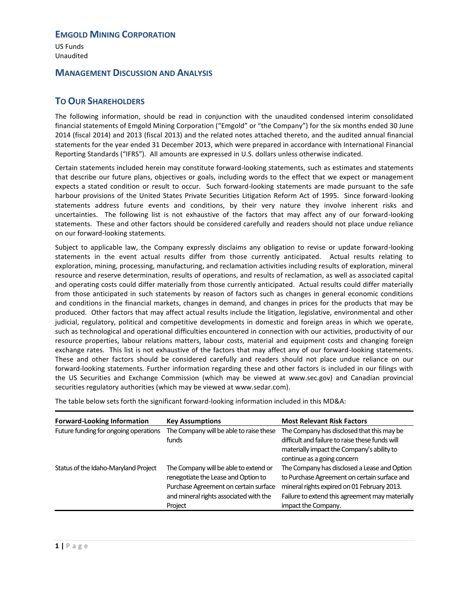US Funds Unaudited

### **MANAGEMENT DISCUSSION AND ANALYSIS**

# <span id="page-2-0"></span>**TO OUR SHAREHOLDERS**

The following information, should be read in conjunction with the unaudited condensed interim consolidated financial statements of Emgold Mining Corporation ("Emgold" or "the Company") for the six months ended 30 June 2014 (fiscal 2014) and 2013 (fiscal 2013) and the related notes attached thereto, and the audited annual financial statements for the year ended 31 December 2013, which were prepared in accordance with International Financial Reporting Standards ("IFRS"). All amounts are expressed in U.S. dollars unless otherwise indicated.

Certain statements included herein may constitute forward-looking statements, such as estimates and statements that describe our future plans, objectives or goals, including words to the effect that we expect or management expects a stated condition or result to occur. Such forward-looking statements are made pursuant to the safe harbour provisions of the United States Private Securities Litigation Reform Act of 1995. Since forward-looking statements address future events and conditions, by their very nature they involve inherent risks and uncertainties. The following list is not exhaustive of the factors that may affect any of our forward-looking statements. These and other factors should be considered carefully and readers should not place undue reliance on our forward-looking statements.

Subject to applicable law, the Company expressly disclaims any obligation to revise or update forward-looking statements in the event actual results differ from those currently anticipated. Actual results relating to exploration, mining, processing, manufacturing, and reclamation activities including results of exploration, mineral resource and reserve determination, results of operations, and results of reclamation, as well as associated capital and operating costs could differ materially from those currently anticipated. Actual results could differ materially from those anticipated in such statements by reason of factors such as changes in general economic conditions and conditions in the financial markets, changes in demand, and changes in prices for the products that may be produced. Other factors that may affect actual results include the litigation, legislative, environmental and other judicial, regulatory, political and competitive developments in domestic and foreign areas in which we operate, such as technological and operational difficulties encountered in connection with our activities, productivity of our resource properties, labour relations matters, labour costs, material and equipment costs and changing foreign exchange rates. This list is not exhaustive of the factors that may affect any of our forward-looking statements. These and other factors should be considered carefully and readers should not place undue reliance on our forward-looking statements. Further information regarding these and other factors is included in our filings with the US Securities and Exchange Commission (which may be viewed at www.sec.gov) and Canadian provincial securities regulatory authorities (which may be viewed at [www.sedar.com\)](http://www.sedar.com/).

The table below sets forth the significant forward-looking information included in this MD&A:

| <b>Forward-Looking Information</b>    | <b>Key Assumptions</b>                                                                                                                                                     | <b>Most Relevant Risk Factors</b>                                                                                                                                                                                     |
|---------------------------------------|----------------------------------------------------------------------------------------------------------------------------------------------------------------------------|-----------------------------------------------------------------------------------------------------------------------------------------------------------------------------------------------------------------------|
| Future funding for ongoing operations | The Company will be able to raise these<br>funds                                                                                                                           | The Company has disclosed that this may be<br>difficult and failure to raise these funds will<br>materially impact the Company's ability to<br>continue as a going concern                                            |
| Status of the Idaho-Maryland Project  | The Company will be able to extend or<br>renegotiate the Lease and Option to<br>Purchase Agreement on certain surface<br>and mineral rights associated with the<br>Project | The Company has disclosed a Lease and Option<br>to Purchase Agreement on certain surface and<br>mineral rights expired on 01 February 2013.<br>Failure to extend this agreement may materially<br>impact the Company. |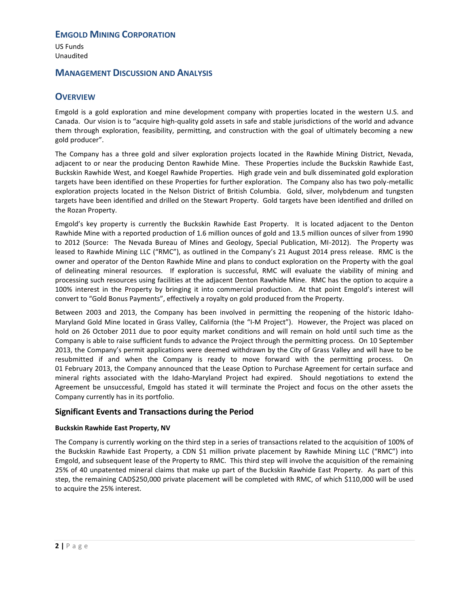US Funds Unaudited

### **MANAGEMENT DISCUSSION AND ANALYSIS**

# <span id="page-3-0"></span>**OVERVIEW**

Emgold is a gold exploration and mine development company with properties located in the western U.S. and Canada. Our vision is to "acquire high-quality gold assets in safe and stable jurisdictions of the world and advance them through exploration, feasibility, permitting, and construction with the goal of ultimately becoming a new gold producer".

The Company has a three gold and silver exploration projects located in the Rawhide Mining District, Nevada, adjacent to or near the producing Denton Rawhide Mine. These Properties include the Buckskin Rawhide East, Buckskin Rawhide West, and Koegel Rawhide Properties. High grade vein and bulk disseminated gold exploration targets have been identified on these Properties for further exploration. The Company also has two poly-metallic exploration projects located in the Nelson District of British Columbia. Gold, silver, molybdenum and tungsten targets have been identified and drilled on the Stewart Property. Gold targets have been identified and drilled on the Rozan Property.

Emgold's key property is currently the Buckskin Rawhide East Property. It is located adjacent to the Denton Rawhide Mine with a reported production of 1.6 million ounces of gold and 13.5 million ounces of silver from 1990 to 2012 (Source: The Nevada Bureau of Mines and Geology, Special Publication, MI-2012). The Property was leased to Rawhide Mining LLC ("RMC"), as outlined in the Company's 21 August 2014 press release. RMC is the owner and operator of the Denton Rawhide Mine and plans to conduct exploration on the Property with the goal of delineating mineral resources. If exploration is successful, RMC will evaluate the viability of mining and processing such resources using facilities at the adjacent Denton Rawhide Mine. RMC has the option to acquire a 100% interest in the Property by bringing it into commercial production. At that point Emgold's interest will convert to "Gold Bonus Payments", effectively a royalty on gold produced from the Property.

Between 2003 and 2013, the Company has been involved in permitting the reopening of the historic Idaho-Maryland Gold Mine located in Grass Valley, California (the "I-M Project"). However, the Project was placed on hold on 26 October 2011 due to poor equity market conditions and will remain on hold until such time as the Company is able to raise sufficient funds to advance the Project through the permitting process. On 10 September 2013, the Company's permit applications were deemed withdrawn by the City of Grass Valley and will have to be resubmitted if and when the Company is ready to move forward with the permitting process. On 01 February 2013, the Company announced that the Lease Option to Purchase Agreement for certain surface and mineral rights associated with the Idaho-Maryland Project had expired. Should negotiations to extend the Agreement be unsuccessful, Emgold has stated it will terminate the Project and focus on the other assets the Company currently has in its portfolio.

### **Significant Events and Transactions during the Period**

#### **Buckskin Rawhide East Property, NV**

The Company is currently working on the third step in a series of transactions related to the acquisition of 100% of the Buckskin Rawhide East Property, a CDN \$1 million private placement by Rawhide Mining LLC ("RMC") into Emgold, and subsequent lease of the Property to RMC. This third step will involve the acquisition of the remaining 25% of 40 unpatented mineral claims that make up part of the Buckskin Rawhide East Property. As part of this step, the remaining CAD\$250,000 private placement will be completed with RMC, of which \$110,000 will be used to acquire the 25% interest.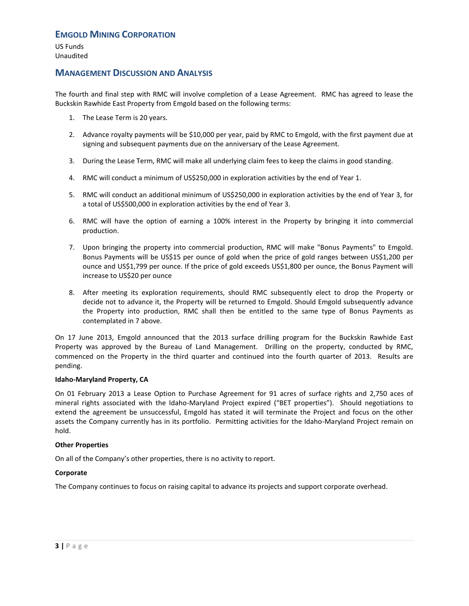US Funds Unaudited

### **MANAGEMENT DISCUSSION AND ANALYSIS**

The fourth and final step with RMC will involve completion of a Lease Agreement. RMC has agreed to lease the Buckskin Rawhide East Property from Emgold based on the following terms:

- 1. The Lease Term is 20 years.
- 2. Advance royalty payments will be \$10,000 per year, paid by RMC to Emgold, with the first payment due at signing and subsequent payments due on the anniversary of the Lease Agreement.
- 3. During the Lease Term, RMC will make all underlying claim fees to keep the claims in good standing.
- 4. RMC will conduct a minimum of US\$250,000 in exploration activities by the end of Year 1.
- 5. RMC will conduct an additional minimum of US\$250,000 in exploration activities by the end of Year 3, for a total of US\$500,000 in exploration activities by the end of Year 3.
- 6. RMC will have the option of earning a 100% interest in the Property by bringing it into commercial production.
- 7. Upon bringing the property into commercial production, RMC will make "Bonus Payments" to Emgold. Bonus Payments will be US\$15 per ounce of gold when the price of gold ranges between US\$1,200 per ounce and US\$1,799 per ounce. If the price of gold exceeds US\$1,800 per ounce, the Bonus Payment will increase to US\$20 per ounce
- 8. After meeting its exploration requirements, should RMC subsequently elect to drop the Property or decide not to advance it, the Property will be returned to Emgold. Should Emgold subsequently advance the Property into production, RMC shall then be entitled to the same type of Bonus Payments as contemplated in 7 above.

On 17 June 2013, Emgold announced that the 2013 surface drilling program for the Buckskin Rawhide East Property was approved by the Bureau of Land Management. Drilling on the property, conducted by RMC, commenced on the Property in the third quarter and continued into the fourth quarter of 2013. Results are pending.

#### **Idaho-Maryland Property, CA**

On 01 February 2013 a Lease Option to Purchase Agreement for 91 acres of surface rights and 2,750 aces of mineral rights associated with the Idaho-Maryland Project expired ("BET properties"). Should negotiations to extend the agreement be unsuccessful, Emgold has stated it will terminate the Project and focus on the other assets the Company currently has in its portfolio. Permitting activities for the Idaho-Maryland Project remain on hold.

#### **Other Properties**

On all of the Company's other properties, there is no activity to report.

#### **Corporate**

The Company continues to focus on raising capital to advance its projects and support corporate overhead.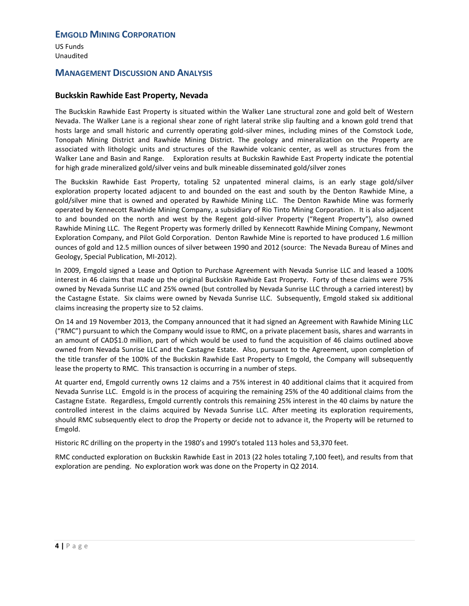US Funds Unaudited

# **MANAGEMENT DISCUSSION AND ANALYSIS**

### **Buckskin Rawhide East Property, Nevada**

The Buckskin Rawhide East Property is situated within the Walker Lane structural zone and gold belt of Western Nevada. The Walker Lane is a regional shear zone of right lateral strike slip faulting and a known gold trend that hosts large and small historic and currently operating gold-silver mines, including mines of the Comstock Lode, Tonopah Mining District and Rawhide Mining District. The geology and mineralization on the Property are associated with lithologic units and structures of the Rawhide volcanic center, as well as structures from the Walker Lane and Basin and Range. Exploration results at Buckskin Rawhide East Property indicate the potential for high grade mineralized gold/silver veins and bulk mineable disseminated gold/silver zones

The Buckskin Rawhide East Property, totaling 52 unpatented mineral claims, is an early stage gold/silver exploration property located adjacent to and bounded on the east and south by the Denton Rawhide Mine, a gold/silver mine that is owned and operated by Rawhide Mining LLC. The Denton Rawhide Mine was formerly operated by Kennecott Rawhide Mining Company, a subsidiary of Rio Tinto Mining Corporation. It is also adjacent to and bounded on the north and west by the Regent gold-silver Property ("Regent Property"), also owned Rawhide Mining LLC. The Regent Property was formerly drilled by Kennecott Rawhide Mining Company, Newmont Exploration Company, and Pilot Gold Corporation. Denton Rawhide Mine is reported to have produced 1.6 million ounces of gold and 12.5 million ounces of silver between 1990 and 2012 (source: The Nevada Bureau of Mines and Geology, Special Publication, MI-2012).

In 2009, Emgold signed a Lease and Option to Purchase Agreement with Nevada Sunrise LLC and leased a 100% interest in 46 claims that made up the original Buckskin Rawhide East Property. Forty of these claims were 75% owned by Nevada Sunrise LLC and 25% owned (but controlled by Nevada Sunrise LLC through a carried interest) by the Castagne Estate. Six claims were owned by Nevada Sunrise LLC. Subsequently, Emgold staked six additional claims increasing the property size to 52 claims.

On 14 and 19 November 2013, the Company announced that it had signed an Agreement with Rawhide Mining LLC ("RMC") pursuant to which the Company would issue to RMC, on a private placement basis, shares and warrants in an amount of CAD\$1.0 million, part of which would be used to fund the acquisition of 46 claims outlined above owned from Nevada Sunrise LLC and the Castagne Estate. Also, pursuant to the Agreement, upon completion of the title transfer of the 100% of the Buckskin Rawhide East Property to Emgold, the Company will subsequently lease the property to RMC. This transaction is occurring in a number of steps.

At quarter end, Emgold currently owns 12 claims and a 75% interest in 40 additional claims that it acquired from Nevada Sunrise LLC. Emgold is in the process of acquiring the remaining 25% of the 40 additional claims from the Castagne Estate. Regardless, Emgold currently controls this remaining 25% interest in the 40 claims by nature the controlled interest in the claims acquired by Nevada Sunrise LLC. After meeting its exploration requirements, should RMC subsequently elect to drop the Property or decide not to advance it, the Property will be returned to Emgold.

Historic RC drilling on the property in the 1980's and 1990's totaled 113 holes and 53,370 feet.

RMC conducted exploration on Buckskin Rawhide East in 2013 (22 holes totaling 7,100 feet), and results from that exploration are pending. No exploration work was done on the Property in Q2 2014.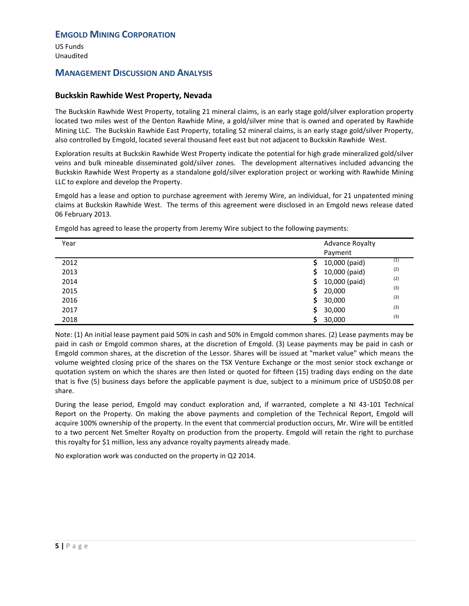US Funds Unaudited

# **MANAGEMENT DISCUSSION AND ANALYSIS**

### **Buckskin Rawhide West Property, Nevada**

The Buckskin Rawhide West Property, totaling 21 mineral claims, is an early stage gold/silver exploration property located two miles west of the Denton Rawhide Mine, a gold/silver mine that is owned and operated by Rawhide Mining LLC. The Buckskin Rawhide East Property, totaling 52 mineral claims, is an early stage gold/silver Property, also controlled by Emgold, located several thousand feet east but not adjacent to Buckskin Rawhide West.

Exploration results at Buckskin Rawhide West Property indicate the potential for high grade mineralized gold/silver veins and bulk mineable disseminated gold/silver zones. The development alternatives included advancing the Buckskin Rawhide West Property as a standalone gold/silver exploration project or working with Rawhide Mining LLC to explore and develop the Property.

Emgold has a lease and option to purchase agreement with Jeremy Wire, an individual, for 21 unpatented mining claims at Buckskin Rawhide West. The terms of this agreement were disclosed in an Emgold news release dated 06 February 2013.

| Year | <b>Advance Royalty</b>      |
|------|-----------------------------|
|      | Payment                     |
| 2012 | (1)<br>10,000 (paid)<br>S   |
| 2013 | (2)<br>10,000 (paid)<br>\$. |
| 2014 | (2)<br>10,000 (paid)<br>\$  |
| 2015 | (3)<br>20,000<br>Ś          |
| 2016 | (3)<br>30,000<br>\$         |
| 2017 | (3)<br>30,000<br>S          |
| 2018 | (3)<br>30,000<br>S          |
|      |                             |

Emgold has agreed to lease the property from Jeremy Wire subject to the following payments:

Note: (1) An initial lease payment paid 50% in cash and 50% in Emgold common shares. (2) Lease payments may be paid in cash or Emgold common shares, at the discretion of Emgold. (3) Lease payments may be paid in cash or Emgold common shares, at the discretion of the Lessor. Shares will be issued at "market value" which means the volume weighted closing price of the shares on the TSX Venture Exchange or the most senior stock exchange or quotation system on which the shares are then listed or quoted for fifteen (15) trading days ending on the date that is five (5) business days before the applicable payment is due, subject to a minimum price of USD\$0.08 per share.

During the lease period, Emgold may conduct exploration and, if warranted, complete a NI 43-101 Technical Report on the Property. On making the above payments and completion of the Technical Report, Emgold will acquire 100% ownership of the property. In the event that commercial production occurs, Mr. Wire will be entitled to a two percent Net Smelter Royalty on production from the property. Emgold will retain the right to purchase this royalty for \$1 million, less any advance royalty payments already made.

No exploration work was conducted on the property in Q2 2014.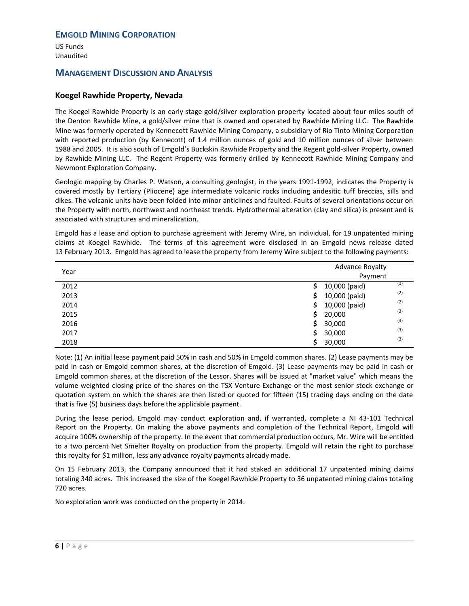US Funds Unaudited

# **MANAGEMENT DISCUSSION AND ANALYSIS**

### **Koegel Rawhide Property, Nevada**

The Koegel Rawhide Property is an early stage gold/silver exploration property located about four miles south of the Denton Rawhide Mine, a gold/silver mine that is owned and operated by Rawhide Mining LLC. The Rawhide Mine was formerly operated by Kennecott Rawhide Mining Company, a subsidiary of Rio Tinto Mining Corporation with reported production (by Kennecott) of 1.4 million ounces of gold and 10 million ounces of silver between 1988 and 2005. It is also south of Emgold's Buckskin Rawhide Property and the Regent gold-silver Property, owned by Rawhide Mining LLC. The Regent Property was formerly drilled by Kennecott Rawhide Mining Company and Newmont Exploration Company.

Geologic mapping by Charles P. Watson, a consulting geologist, in the years 1991-1992, indicates the Property is covered mostly by Tertiary (Pliocene) age intermediate volcanic rocks including andesitic tuff breccias, sills and dikes. The volcanic units have been folded into minor anticlines and faulted. Faults of several orientations occur on the Property with north, northwest and northeast trends. Hydrothermal alteration (clay and silica) is present and is associated with structures and mineralization.

Emgold has a lease and option to purchase agreement with Jeremy Wire, an individual, for 19 unpatented mining claims at Koegel Rawhide. The terms of this agreement were disclosed in an Emgold news release dated 13 February 2013. Emgold has agreed to lease the property from Jeremy Wire subject to the following payments:

| Year | <b>Advance Royalty</b>     |  |
|------|----------------------------|--|
|      | Payment                    |  |
| 2012 | (1)<br>10,000 (paid)       |  |
| 2013 | (2)<br>10,000 (paid)<br>\$ |  |
| 2014 | (2)<br>10,000 (paid)<br>\$ |  |
| 2015 | (3)<br>\$<br>20,000        |  |
| 2016 | (3)<br>Ś.<br>30,000        |  |
| 2017 | (3)<br>\$.<br>30,000       |  |
| 2018 | (3)<br>30,000              |  |

Note: (1) An initial lease payment paid 50% in cash and 50% in Emgold common shares. (2) Lease payments may be paid in cash or Emgold common shares, at the discretion of Emgold. (3) Lease payments may be paid in cash or Emgold common shares, at the discretion of the Lessor. Shares will be issued at "market value" which means the volume weighted closing price of the shares on the TSX Venture Exchange or the most senior stock exchange or quotation system on which the shares are then listed or quoted for fifteen (15) trading days ending on the date that is five (5) business days before the applicable payment.

During the lease period, Emgold may conduct exploration and, if warranted, complete a NI 43-101 Technical Report on the Property. On making the above payments and completion of the Technical Report, Emgold will acquire 100% ownership of the property. In the event that commercial production occurs, Mr. Wire will be entitled to a two percent Net Smelter Royalty on production from the property. Emgold will retain the right to purchase this royalty for \$1 million, less any advance royalty payments already made.

On 15 February 2013, the Company announced that it had staked an additional 17 unpatented mining claims totaling 340 acres. This increased the size of the Koegel Rawhide Property to 36 unpatented mining claims totaling 720 acres.

No exploration work was conducted on the property in 2014.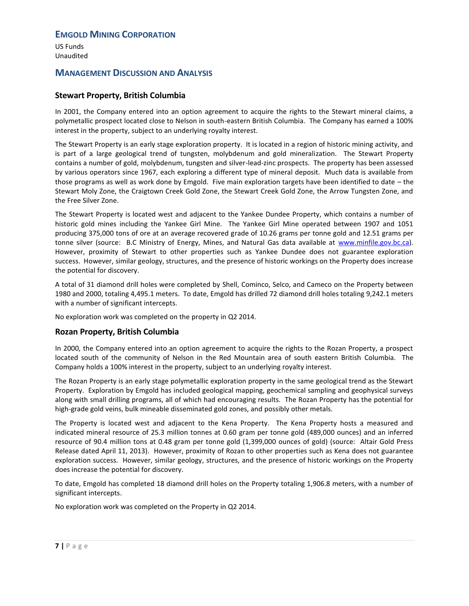US Funds Unaudited

# **MANAGEMENT DISCUSSION AND ANALYSIS**

### **Stewart Property, British Columbia**

In 2001, the Company entered into an option agreement to acquire the rights to the Stewart mineral claims, a polymetallic prospect located close to Nelson in south-eastern British Columbia. The Company has earned a 100% interest in the property, subject to an underlying royalty interest.

The Stewart Property is an early stage exploration property. It is located in a region of historic mining activity, and is part of a large geological trend of tungsten, molybdenum and gold mineralization. The Stewart Property contains a number of gold, molybdenum, tungsten and silver-lead-zinc prospects. The property has been assessed by various operators since 1967, each exploring a different type of mineral deposit. Much data is available from those programs as well as work done by Emgold. Five main exploration targets have been identified to date – the Stewart Moly Zone, the Craigtown Creek Gold Zone, the Stewart Creek Gold Zone, the Arrow Tungsten Zone, and the Free Silver Zone.

The Stewart Property is located west and adjacent to the Yankee Dundee Property, which contains a number of historic gold mines including the Yankee Girl Mine. The Yankee Girl Mine operated between 1907 and 1051 producing 375,000 tons of ore at an average recovered grade of 10.26 grams per tonne gold and 12.51 grams per tonne silver (source: B.C Ministry of Energy, Mines, and Natural Gas data available at [www.minfile.gov.bc.ca\)](http://www.minfile.gov.bc.ca/). However, proximity of Stewart to other properties such as Yankee Dundee does not guarantee exploration success. However, similar geology, structures, and the presence of historic workings on the Property does increase the potential for discovery.

A total of 31 diamond drill holes were completed by Shell, Cominco, Selco, and Cameco on the Property between 1980 and 2000, totaling 4,495.1 meters. To date, Emgold has drilled 72 diamond drill holes totaling 9,242.1 meters with a number of significant intercepts.

No exploration work was completed on the property in Q2 2014.

#### **Rozan Property, British Columbia**

In 2000, the Company entered into an option agreement to acquire the rights to the Rozan Property, a prospect located south of the community of Nelson in the Red Mountain area of south eastern British Columbia. The Company holds a 100% interest in the property, subject to an underlying royalty interest.

The Rozan Property is an early stage polymetallic exploration property in the same geological trend as the Stewart Property. Exploration by Emgold has included geological mapping, geochemical sampling and geophysical surveys along with small drilling programs, all of which had encouraging results. The Rozan Property has the potential for high-grade gold veins, bulk mineable disseminated gold zones, and possibly other metals.

The Property is located west and adjacent to the Kena Property. The Kena Property hosts a measured and indicated mineral resource of 25.3 million tonnes at 0.60 gram per tonne gold (489,000 ounces) and an inferred resource of 90.4 million tons at 0.48 gram per tonne gold (1,399,000 ounces of gold) (source: Altair Gold Press Release dated April 11, 2013). However, proximity of Rozan to other properties such as Kena does not guarantee exploration success. However, similar geology, structures, and the presence of historic workings on the Property does increase the potential for discovery.

To date, Emgold has completed 18 diamond drill holes on the Property totaling 1,906.8 meters, with a number of significant intercepts.

No exploration work was completed on the Property in Q2 2014.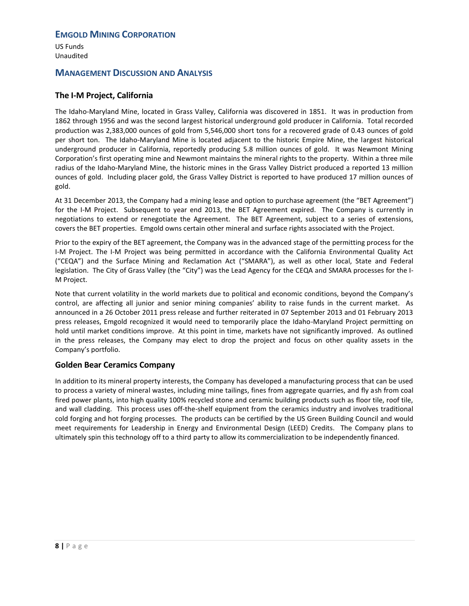US Funds Unaudited

# **MANAGEMENT DISCUSSION AND ANALYSIS**

# **The I-M Project, California**

The Idaho-Maryland Mine, located in Grass Valley, California was discovered in 1851. It was in production from 1862 through 1956 and was the second largest historical underground gold producer in California. Total recorded production was 2,383,000 ounces of gold from 5,546,000 short tons for a recovered grade of 0.43 ounces of gold per short ton. The Idaho-Maryland Mine is located adjacent to the historic Empire Mine, the largest historical underground producer in California, reportedly producing 5.8 million ounces of gold. It was Newmont Mining Corporation's first operating mine and Newmont maintains the mineral rights to the property. Within a three mile radius of the Idaho-Maryland Mine, the historic mines in the Grass Valley District produced a reported 13 million ounces of gold. Including placer gold, the Grass Valley District is reported to have produced 17 million ounces of gold.

At 31 December 2013, the Company had a mining lease and option to purchase agreement (the "BET Agreement") for the I-M Project. Subsequent to year end 2013, the BET Agreement expired. The Company is currently in negotiations to extend or renegotiate the Agreement. The BET Agreement, subject to a series of extensions, covers the BET properties. Emgold owns certain other mineral and surface rights associated with the Project.

Prior to the expiry of the BET agreement, the Company was in the advanced stage of the permitting process for the I-M Project. The I-M Project was being permitted in accordance with the California Environmental Quality Act ("CEQA") and the Surface Mining and Reclamation Act ("SMARA"), as well as other local, State and Federal legislation. The City of Grass Valley (the "City") was the Lead Agency for the CEQA and SMARA processes for the I-M Project.

Note that current volatility in the world markets due to political and economic conditions, beyond the Company's control, are affecting all junior and senior mining companies' ability to raise funds in the current market. As announced in a 26 October 2011 press release and further reiterated in 07 September 2013 and 01 February 2013 press releases, Emgold recognized it would need to temporarily place the Idaho-Maryland Project permitting on hold until market conditions improve. At this point in time, markets have not significantly improved. As outlined in the press releases, the Company may elect to drop the project and focus on other quality assets in the Company's portfolio.

### **Golden Bear Ceramics Company**

In addition to its mineral property interests, the Company has developed a manufacturing process that can be used to process a variety of mineral wastes, including mine tailings, fines from aggregate quarries, and fly ash from coal fired power plants, into high quality 100% recycled stone and ceramic building products such as floor tile, roof tile, and wall cladding. This process uses off-the-shelf equipment from the ceramics industry and involves traditional cold forging and hot forging processes. The products can be certified by the US Green Building Council and would meet requirements for Leadership in Energy and Environmental Design (LEED) Credits. The Company plans to ultimately spin this technology off to a third party to allow its commercialization to be independently financed.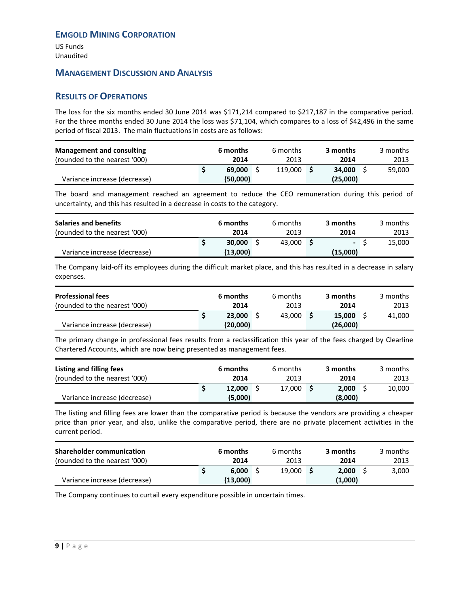US Funds Unaudited

# **MANAGEMENT DISCUSSION AND ANALYSIS**

# <span id="page-10-0"></span>**RESULTS OF OPERATIONS**

The loss for the six months ended 30 June 2014 was \$171,214 compared to \$217,187 in the comparative period. For the three months ended 30 June 2014 the loss was \$71,104, which compares to a loss of \$42,496 in the same period of fiscal 2013. The main fluctuations in costs are as follows:

| <b>Management and consulting</b> | 6 months | 6 months | 3 months | 3 months |
|----------------------------------|----------|----------|----------|----------|
| (rounded to the nearest '000)    | 2014     | 2013     | 2014     | 2013     |
|                                  | 69.000   | 119.000  | 34.000   | 59,000   |
| Variance increase (decrease)     | (50,000) |          | (25,000) |          |

The board and management reached an agreement to reduce the CEO remuneration during this period of uncertainty, and this has resulted in a decrease in costs to the category.

| <b>Salaries and benefits</b><br>(rounded to the nearest '000) |  | 6 months<br>2014   | 6 months<br>2013 | 3 months<br>2014   | 3 months<br>2013 |
|---------------------------------------------------------------|--|--------------------|------------------|--------------------|------------------|
| Variance increase (decrease)                                  |  | 30,000<br>(13,000) | 43.000           | $\sim$<br>(15,000) | 15,000           |
|                                                               |  |                    |                  |                    |                  |

The Company laid-off its employees during the difficult market place, and this has resulted in a decrease in salary expenses.

| <b>Professional fees</b><br>(rounded to the nearest '000) |  | 6 months<br>2014   | 6 months<br>2013 | 3 months<br>2014   | 3 months<br>2013 |
|-----------------------------------------------------------|--|--------------------|------------------|--------------------|------------------|
| Variance increase (decrease)                              |  | 23,000<br>(20,000) | 43.000           | 15.000<br>(26,000) | 41.000           |

The primary change in professional fees results from a reclassification this year of the fees charged by Clearline Chartered Accounts, which are now being presented as management fees.

| Listing and filling fees      |  | 6 months          |  | 6 months |  | 3 months         |  | 3 months |  |
|-------------------------------|--|-------------------|--|----------|--|------------------|--|----------|--|
| (rounded to the nearest '000) |  | 2014              |  | 2013     |  | 2014             |  | 2013     |  |
| Variance increase (decrease)  |  | 12,000<br>(5,000) |  | 17.000   |  | 2.000<br>(8,000) |  | 10,000   |  |

The listing and filling fees are lower than the comparative period is because the vendors are providing a cheaper price than prior year, and also, unlike the comparative period, there are no private placement activities in the current period.

| <b>Shareholder communication</b> | 6 months | 6 months | 3 months | 3 months |
|----------------------------------|----------|----------|----------|----------|
| (rounded to the nearest '000)    | 2014     | 2013     | 2014     | 2013     |
|                                  | 6.000    | 19.000   | 2.000    | 3,000    |
| Variance increase (decrease)     | (13,000) |          | (1,000)  |          |

The Company continues to curtail every expenditure possible in uncertain times.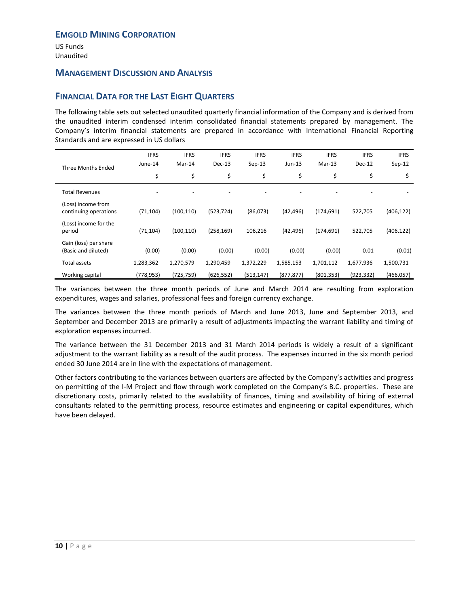US Funds Unaudited

### **MANAGEMENT DISCUSSION AND ANALYSIS**

# <span id="page-11-0"></span>**FINANCIAL DATA FOR THE LAST EIGHT QUARTERS**

The following table sets out selected unaudited quarterly financial information of the Company and is derived from the unaudited interim condensed interim consolidated financial statements prepared by management. The Company's interim financial statements are prepared in accordance with International Financial Reporting Standards and are expressed in US dollars

| Three Months Ended                           | <b>IFRS</b><br>June-14 | <b>IFRS</b><br>Mar-14 | <b>IFRS</b><br>$Dec-13$ | <b>IFRS</b><br>$Sep-13$ | <b>IFRS</b><br>$Jun-13$ | <b>IFRS</b><br>$Mar-13$ | <b>IFRS</b><br>Dec-12 | <b>IFRS</b><br>$Sep-12$ |
|----------------------------------------------|------------------------|-----------------------|-------------------------|-------------------------|-------------------------|-------------------------|-----------------------|-------------------------|
|                                              | \$                     | \$                    | \$                      | \$                      | \$                      | \$                      | \$                    | \$                      |
| <b>Total Revenues</b>                        |                        |                       |                         |                         |                         |                         |                       |                         |
| (Loss) income from<br>continuing operations  | (71, 104)              | (100, 110)            | (523, 724)              | (86,073)                | (42, 496)               | (174, 691)              | 522,705               | (406, 122)              |
| (Loss) income for the<br>period              | (71, 104)              | (100, 110)            | (258, 169)              | 106,216                 | (42, 496)               | (174, 691)              | 522,705               | (406, 122)              |
| Gain (loss) per share<br>(Basic and diluted) | (0.00)                 | (0.00)                | (0.00)                  | (0.00)                  | (0.00)                  | (0.00)                  | 0.01                  | (0.01)                  |
| Total assets                                 | 1,283,362              | 1,270,579             | 1,290,459               | 1,372,229               | 1,585,153               | 1,701,112               | 1,677,936             | 1,500,731               |
| Working capital                              | (778, 953)             | (725, 759)            | (626, 552)              | (513, 147)              | (877, 877)              | (801, 353)              | (923, 332)            | (466, 057)              |

The variances between the three month periods of June and March 2014 are resulting from exploration expenditures, wages and salaries, professional fees and foreign currency exchange.

The variances between the three month periods of March and June 2013, June and September 2013, and September and December 2013 are primarily a result of adjustments impacting the warrant liability and timing of exploration expenses incurred.

The variance between the 31 December 2013 and 31 March 2014 periods is widely a result of a significant adjustment to the warrant liability as a result of the audit process. The expenses incurred in the six month period ended 30 June 2014 are in line with the expectations of management.

Other factors contributing to the variances between quarters are affected by the Company's activities and progress on permitting of the I-M Project and flow through work completed on the Company's B.C. properties. These are discretionary costs, primarily related to the availability of finances, timing and availability of hiring of external consultants related to the permitting process, resource estimates and engineering or capital expenditures, which have been delayed.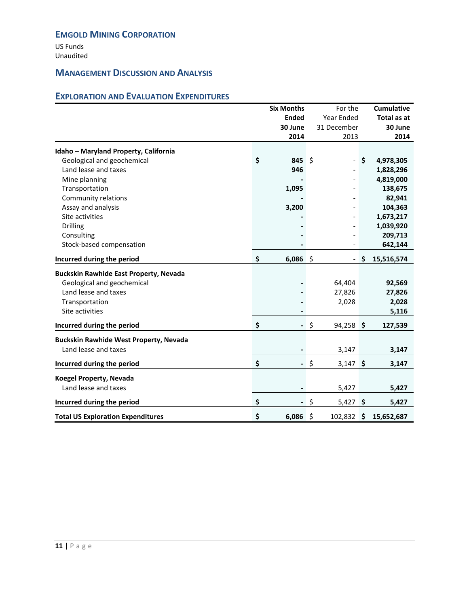US Funds Unaudited

# **MANAGEMENT DISCUSSION AND ANALYSIS**

# <span id="page-12-0"></span>**EXPLORATION AND EVALUATION EXPENDITURES**

|                                                        | <b>Six Months</b>              | For the                  | <b>Cumulative</b> |
|--------------------------------------------------------|--------------------------------|--------------------------|-------------------|
|                                                        | <b>Ended</b>                   | Year Ended               | Total as at       |
|                                                        | 30 June                        | 31 December              | 30 June           |
|                                                        | 2014                           | 2013                     | 2014              |
| Idaho - Maryland Property, California                  |                                |                          |                   |
| Geological and geochemical                             | \$<br>845 \$                   |                          | \$<br>4,978,305   |
| Land lease and taxes                                   | 946                            |                          | 1,828,296         |
| Mine planning                                          |                                |                          | 4,819,000         |
| Transportation                                         | 1,095                          |                          | 138,675           |
| Community relations                                    |                                |                          | 82,941            |
| Assay and analysis                                     | 3,200                          |                          | 104,363           |
| Site activities                                        |                                |                          | 1,673,217         |
| <b>Drilling</b>                                        |                                |                          | 1,039,920         |
| Consulting                                             |                                |                          | 209,713           |
| Stock-based compensation                               |                                |                          | 642,144           |
| Incurred during the period                             | \$<br>$6,086$ \$               | $\overline{\phantom{0}}$ | \$<br>15,516,574  |
| <b>Buckskin Rawhide East Property, Nevada</b>          |                                |                          |                   |
| Geological and geochemical                             |                                | 64,404                   | 92,569            |
| Land lease and taxes                                   |                                | 27,826                   | 27,826            |
| Transportation                                         |                                | 2,028                    | 2,028             |
| Site activities                                        |                                |                          | 5,116             |
| Incurred during the period                             | \$<br>$\overline{\phantom{0}}$ | \$<br>$94,258$ \$        | 127,539           |
| <b>Buckskin Rawhide West Property, Nevada</b>          |                                |                          |                   |
| Land lease and taxes                                   |                                | 3,147                    | 3,147             |
| Incurred during the period                             | \$<br>$\overline{\phantom{0}}$ | \$<br>$3,147$ \$         | 3,147             |
|                                                        |                                |                          |                   |
| <b>Koegel Property, Nevada</b><br>Land lease and taxes |                                |                          |                   |
|                                                        |                                | 5,427                    | 5,427             |
| Incurred during the period                             | \$<br>$\blacksquare$           | $\sqrt{5}$<br>$5,427$ \$ | 5,427             |
| <b>Total US Exploration Expenditures</b>               | \$<br>6,086                    | \$<br>102,832            | \$<br>15,652,687  |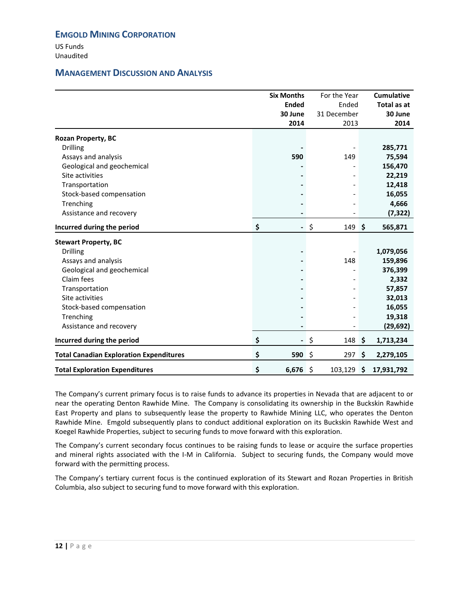US Funds Unaudited

# **MANAGEMENT DISCUSSION AND ANALYSIS**

|                                                | <b>Six Months</b>              | For the Year | <b>Cumulative</b> |
|------------------------------------------------|--------------------------------|--------------|-------------------|
|                                                | <b>Ended</b>                   | Ended        | Total as at       |
|                                                | 30 June                        | 31 December  | 30 June           |
|                                                | 2014                           | 2013         | 2014              |
| <b>Rozan Property, BC</b>                      |                                |              |                   |
| <b>Drilling</b>                                |                                |              | 285,771           |
| Assays and analysis                            | 590                            | 149          | 75,594            |
| Geological and geochemical                     |                                |              | 156,470           |
| Site activities                                |                                |              | 22,219            |
| Transportation                                 |                                |              | 12,418            |
| Stock-based compensation                       |                                |              | 16,055            |
| Trenching                                      |                                |              | 4,666             |
| Assistance and recovery                        |                                |              | (7, 322)          |
| Incurred during the period                     | \$                             | - \$<br>149  | \$<br>565,871     |
| <b>Stewart Property, BC</b>                    |                                |              |                   |
| <b>Drilling</b>                                |                                |              | 1,079,056         |
| Assays and analysis                            |                                | 148          | 159,896           |
| Geological and geochemical                     |                                |              | 376,399           |
| Claim fees                                     |                                |              | 2,332             |
| Transportation                                 |                                |              | 57,857            |
| Site activities                                |                                |              | 32,013            |
| Stock-based compensation                       |                                |              | 16,055            |
| Trenching                                      |                                |              | 19,318            |
| Assistance and recovery                        |                                |              | (29, 692)         |
| Incurred during the period                     | \$<br>$\overline{\phantom{0}}$ | \$<br>148 \$ | 1,713,234         |
| <b>Total Canadian Exploration Expenditures</b> | \$<br>590 \$                   | 297          | \$<br>2,279,105   |
| <b>Total Exploration Expenditures</b>          | \$<br>$6,676$ \$               | 103,129 \$   | 17,931,792        |

The Company's current primary focus is to raise funds to advance its properties in Nevada that are adjacent to or near the operating Denton Rawhide Mine. The Company is consolidating its ownership in the Buckskin Rawhide East Property and plans to subsequently lease the property to Rawhide Mining LLC, who operates the Denton Rawhide Mine. Emgold subsequently plans to conduct additional exploration on its Buckskin Rawhide West and Koegel Rawhide Properties, subject to securing funds to move forward with this exploration.

The Company's current secondary focus continues to be raising funds to lease or acquire the surface properties and mineral rights associated with the I-M in California. Subject to securing funds, the Company would move forward with the permitting process.

The Company's tertiary current focus is the continued exploration of its Stewart and Rozan Properties in British Columbia, also subject to securing fund to move forward with this exploration.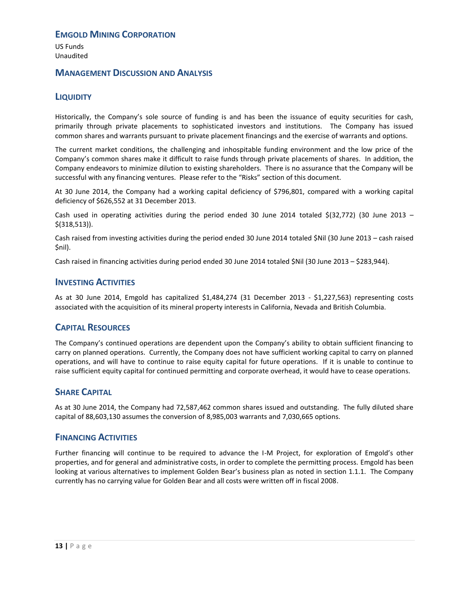US Funds Unaudited

### **MANAGEMENT DISCUSSION AND ANALYSIS**

# **LIQUIDITY**

Historically, the Company's sole source of funding is and has been the issuance of equity securities for cash, primarily through private placements to sophisticated investors and institutions. The Company has issued common shares and warrants pursuant to private placement financings and the exercise of warrants and options.

The current market conditions, the challenging and inhospitable funding environment and the low price of the Company's common shares make it difficult to raise funds through private placements of shares. In addition, the Company endeavors to minimize dilution to existing shareholders. There is no assurance that the Company will be successful with any financing ventures. Please refer to the "Risks" section of this document.

At 30 June 2014, the Company had a working capital deficiency of \$796,801, compared with a working capital deficiency of \$626,552 at 31 December 2013.

Cash used in operating activities during the period ended 30 June 2014 totaled  $\S(32,772)$  (30 June 2013 – \$(318,513)).

Cash raised from investing activities during the period ended 30 June 2014 totaled \$Nil (30 June 2013 – cash raised \$nil).

Cash raised in financing activities during period ended 30 June 2014 totaled \$Nil (30 June 2013 – \$283,944).

### **INVESTING ACTIVITIES**

As at 30 June 2014, Emgold has capitalized \$1,484,274 (31 December 2013 - \$1,227,563) representing costs associated with the acquisition of its mineral property interests in California, Nevada and British Columbia.

### <span id="page-14-0"></span>**CAPITAL RESOURCES**

The Company's continued operations are dependent upon the Company's ability to obtain sufficient financing to carry on planned operations. Currently, the Company does not have sufficient working capital to carry on planned operations, and will have to continue to raise equity capital for future operations. If it is unable to continue to raise sufficient equity capital for continued permitting and corporate overhead, it would have to cease operations.

### <span id="page-14-1"></span>**SHARE CAPITAL**

As at 30 June 2014, the Company had 72,587,462 common shares issued and outstanding. The fully diluted share capital of 88,603,130 assumes the conversion of 8,985,003 warrants and 7,030,665 options.

#### **FINANCING ACTIVITIES**

Further financing will continue to be required to advance the I-M Project, for exploration of Emgold's other properties, and for general and administrative costs, in order to complete the permitting process. Emgold has been looking at various alternatives to implement Golden Bear's business plan as noted in section 1.1.1. The Company currently has no carrying value for Golden Bear and all costs were written off in fiscal 2008.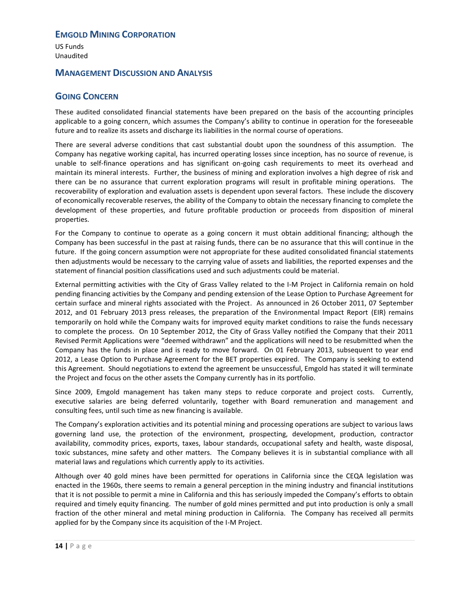US Funds Unaudited

# **MANAGEMENT DISCUSSION AND ANALYSIS**

# <span id="page-15-0"></span>**GOING CONCERN**

These audited consolidated financial statements have been prepared on the basis of the accounting principles applicable to a going concern, which assumes the Company's ability to continue in operation for the foreseeable future and to realize its assets and discharge its liabilities in the normal course of operations.

There are several adverse conditions that cast substantial doubt upon the soundness of this assumption. The Company has negative working capital, has incurred operating losses since inception, has no source of revenue, is unable to self-finance operations and has significant on-going cash requirements to meet its overhead and maintain its mineral interests. Further, the business of mining and exploration involves a high degree of risk and there can be no assurance that current exploration programs will result in profitable mining operations. The recoverability of exploration and evaluation assets is dependent upon several factors. These include the discovery of economically recoverable reserves, the ability of the Company to obtain the necessary financing to complete the development of these properties, and future profitable production or proceeds from disposition of mineral properties.

For the Company to continue to operate as a going concern it must obtain additional financing; although the Company has been successful in the past at raising funds, there can be no assurance that this will continue in the future. If the going concern assumption were not appropriate for these audited consolidated financial statements then adjustments would be necessary to the carrying value of assets and liabilities, the reported expenses and the statement of financial position classifications used and such adjustments could be material.

External permitting activities with the City of Grass Valley related to the I-M Project in California remain on hold pending financing activities by the Company and pending extension of the Lease Option to Purchase Agreement for certain surface and mineral rights associated with the Project. As announced in 26 October 2011, 07 September 2012, and 01 February 2013 press releases, the preparation of the Environmental Impact Report (EIR) remains temporarily on hold while the Company waits for improved equity market conditions to raise the funds necessary to complete the process. On 10 September 2012, the City of Grass Valley notified the Company that their 2011 Revised Permit Applications were "deemed withdrawn" and the applications will need to be resubmitted when the Company has the funds in place and is ready to move forward. On 01 February 2013, subsequent to year end 2012, a Lease Option to Purchase Agreement for the BET properties expired. The Company is seeking to extend this Agreement. Should negotiations to extend the agreement be unsuccessful, Emgold has stated it will terminate the Project and focus on the other assets the Company currently has in its portfolio.

Since 2009, Emgold management has taken many steps to reduce corporate and project costs. Currently, executive salaries are being deferred voluntarily, together with Board remuneration and management and consulting fees, until such time as new financing is available.

The Company's exploration activities and its potential mining and processing operations are subject to various laws governing land use, the protection of the environment, prospecting, development, production, contractor availability, commodity prices, exports, taxes, labour standards, occupational safety and health, waste disposal, toxic substances, mine safety and other matters. The Company believes it is in substantial compliance with all material laws and regulations which currently apply to its activities.

Although over 40 gold mines have been permitted for operations in California since the CEQA legislation was enacted in the 1960s, there seems to remain a general perception in the mining industry and financial institutions that it is not possible to permit a mine in California and this has seriously impeded the Company's efforts to obtain required and timely equity financing. The number of gold mines permitted and put into production is only a small fraction of the other mineral and metal mining production in California. The Company has received all permits applied for by the Company since its acquisition of the I-M Project.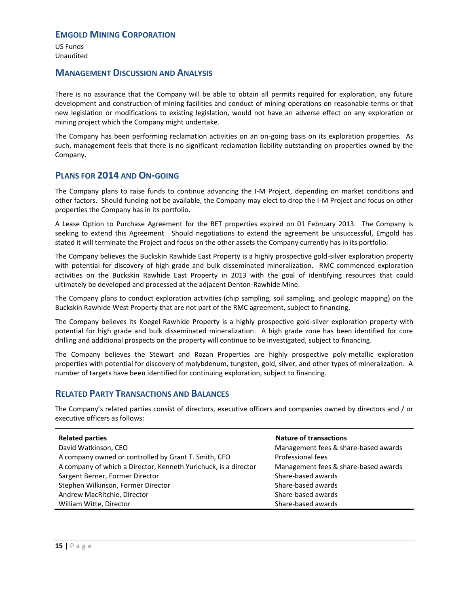US Funds Unaudited

### **MANAGEMENT DISCUSSION AND ANALYSIS**

There is no assurance that the Company will be able to obtain all permits required for exploration, any future development and construction of mining facilities and conduct of mining operations on reasonable terms or that new legislation or modifications to existing legislation, would not have an adverse effect on any exploration or mining project which the Company might undertake.

The Company has been performing reclamation activities on an on-going basis on its exploration properties. As such, management feels that there is no significant reclamation liability outstanding on properties owned by the Company.

# <span id="page-16-0"></span>**PLANS FOR 2014 AND ON-GOING**

The Company plans to raise funds to continue advancing the I-M Project, depending on market conditions and other factors. Should funding not be available, the Company may elect to drop the I-M Project and focus on other properties the Company has in its portfolio.

A Lease Option to Purchase Agreement for the BET properties expired on 01 February 2013. The Company is seeking to extend this Agreement. Should negotiations to extend the agreement be unsuccessful, Emgold has stated it will terminate the Project and focus on the other assets the Company currently has in its portfolio.

The Company believes the Buckskin Rawhide East Property is a highly prospective gold-silver exploration property with potential for discovery of high grade and bulk disseminated mineralization. RMC commenced exploration activities on the Buckskin Rawhide East Property in 2013 with the goal of identifying resources that could ultimately be developed and processed at the adjacent Denton-Rawhide Mine.

The Company plans to conduct exploration activities (chip sampling, soil sampling, and geologic mapping) on the Buckskin Rawhide West Property that are not part of the RMC agreement, subject to financing.

The Company believes its Koegel Rawhide Property is a highly prospective gold-silver exploration property with potential for high grade and bulk disseminated mineralization. A high grade zone has been identified for core drilling and additional prospects on the property will continue to be investigated, subject to financing.

The Company believes the Stewart and Rozan Properties are highly prospective poly-metallic exploration properties with potential for discovery of molybdenum, tungsten, gold, silver, and other types of mineralization. A number of targets have been identified for continuing exploration, subject to financing.

### <span id="page-16-1"></span>**RELATED PARTY TRANSACTIONS AND BALANCES**

The Company's related parties consist of directors, executive officers and companies owned by directors and / or executive officers as follows:

| <b>Nature of transactions</b>        |  |  |
|--------------------------------------|--|--|
| Management fees & share-based awards |  |  |
| Professional fees                    |  |  |
| Management fees & share-based awards |  |  |
| Share-based awards                   |  |  |
| Share-based awards                   |  |  |
| Share-based awards                   |  |  |
| Share-based awards                   |  |  |
|                                      |  |  |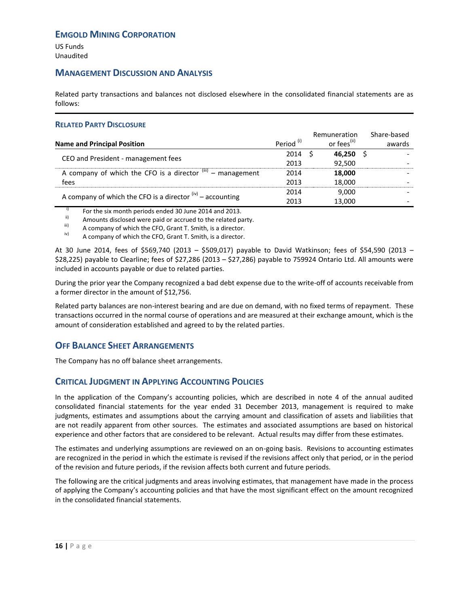US Funds Unaudited

### **MANAGEMENT DISCUSSION AND ANALYSIS**

Related party transactions and balances not disclosed elsewhere in the consolidated financial statements are as follows:

#### **RELATED PARTY DISCLOSURE**

|                                                                       |                       | Remuneration            | Share-based |
|-----------------------------------------------------------------------|-----------------------|-------------------------|-------------|
| <b>Name and Principal Position</b>                                    | Period <sup>(i)</sup> | or fees <sup>(ii)</sup> | awards      |
| CEO and President - management fees                                   | 2014                  | 46.250                  |             |
|                                                                       | 2013                  | 92.500                  |             |
| A company of which the CFO is a director $\frac{(iii)}{-}$ management | 2014                  | 18,000                  |             |
| fees                                                                  | 2013                  | 18,000                  |             |
| A company of which the CFO is a director $f(x)$ – accounting          | 2014                  | 9,000                   |             |
|                                                                       | 2013                  | 13,000                  |             |

 $\frac{1}{10}$  For the six month periods ended 30 June 2014 and 2013.

<sup>II</sup> Amounts disclosed were paid or accrued to the related party.<br>
A company of which the CEO Grant T. Smith, is a director

 $\binom{10}{10}$  A company of which the CFO, Grant T. Smith, is a director.

A company of which the CFO, Grant T. Smith, is a director.

At 30 June 2014, fees of \$569,740 (2013 – \$509,017) payable to David Watkinson; fees of \$54,590 (2013 – \$28,225) payable to Clearline; fees of \$27,286 (2013 – \$27,286) payable to 759924 Ontario Ltd. All amounts were included in accounts payable or due to related parties.

During the prior year the Company recognized a bad debt expense due to the write-off of accounts receivable from a former director in the amount of \$12,756.

Related party balances are non-interest bearing and are due on demand, with no fixed terms of repayment. These transactions occurred in the normal course of operations and are measured at their exchange amount, which is the amount of consideration established and agreed to by the related parties.

# <span id="page-17-0"></span>**OFF BALANCE SHEET ARRANGEMENTS**

The Company has no off balance sheet arrangements.

# <span id="page-17-1"></span>**CRITICAL JUDGMENT IN APPLYING ACCOUNTING POLICIES**

In the application of the Company's accounting policies, which are described in note 4 of the annual audited consolidated financial statements for the year ended 31 December 2013, management is required to make judgments, estimates and assumptions about the carrying amount and classification of assets and liabilities that are not readily apparent from other sources. The estimates and associated assumptions are based on historical experience and other factors that are considered to be relevant. Actual results may differ from these estimates.

The estimates and underlying assumptions are reviewed on an on-going basis. Revisions to accounting estimates are recognized in the period in which the estimate is revised if the revisions affect only that period, or in the period of the revision and future periods, if the revision affects both current and future periods.

The following are the critical judgments and areas involving estimates, that management have made in the process of applying the Company's accounting policies and that have the most significant effect on the amount recognized in the consolidated financial statements.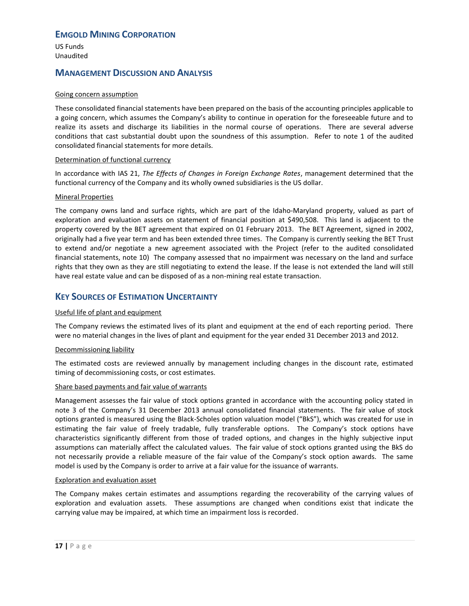US Funds Unaudited

# **MANAGEMENT DISCUSSION AND ANALYSIS**

#### Going concern assumption

These consolidated financial statements have been prepared on the basis of the accounting principles applicable to a going concern, which assumes the Company's ability to continue in operation for the foreseeable future and to realize its assets and discharge its liabilities in the normal course of operations. There are several adverse conditions that cast substantial doubt upon the soundness of this assumption. Refer to note 1 of the audited consolidated financial statements for more details.

#### Determination of functional currency

In accordance with IAS 21, *The Effects of Changes in Foreign Exchange Rates*, management determined that the functional currency of the Company and its wholly owned subsidiaries is the US dollar.

#### Mineral Properties

The company owns land and surface rights, which are part of the Idaho-Maryland property, valued as part of exploration and evaluation assets on statement of financial position at \$490,508. This land is adjacent to the property covered by the BET agreement that expired on 01 February 2013. The BET Agreement, signed in 2002, originally had a five year term and has been extended three times. The Company is currently seeking the BET Trust to extend and/or negotiate a new agreement associated with the Project (refer to the audited consolidated financial statements, note 10) The company assessed that no impairment was necessary on the land and surface rights that they own as they are still negotiating to extend the lease. If the lease is not extended the land will still have real estate value and can be disposed of as a non-mining real estate transaction.

# <span id="page-18-0"></span>**KEY SOURCES OF ESTIMATION UNCERTAINTY**

#### Useful life of plant and equipment

The Company reviews the estimated lives of its plant and equipment at the end of each reporting period. There were no material changes in the lives of plant and equipment for the year ended 31 December 2013 and 2012.

#### Decommissioning liability

The estimated costs are reviewed annually by management including changes in the discount rate, estimated timing of decommissioning costs, or cost estimates.

#### Share based payments and fair value of warrants

Management assesses the fair value of stock options granted in accordance with the accounting policy stated in note 3 of the Company's 31 December 2013 annual consolidated financial statements. The fair value of stock options granted is measured using the Black-Scholes option valuation model ("BkS"), which was created for use in estimating the fair value of freely tradable, fully transferable options. The Company's stock options have characteristics significantly different from those of traded options, and changes in the highly subjective input assumptions can materially affect the calculated values. The fair value of stock options granted using the BkS do not necessarily provide a reliable measure of the fair value of the Company's stock option awards. The same model is used by the Company is order to arrive at a fair value for the issuance of warrants.

#### Exploration and evaluation asset

The Company makes certain estimates and assumptions regarding the recoverability of the carrying values of exploration and evaluation assets. These assumptions are changed when conditions exist that indicate the carrying value may be impaired, at which time an impairment loss is recorded.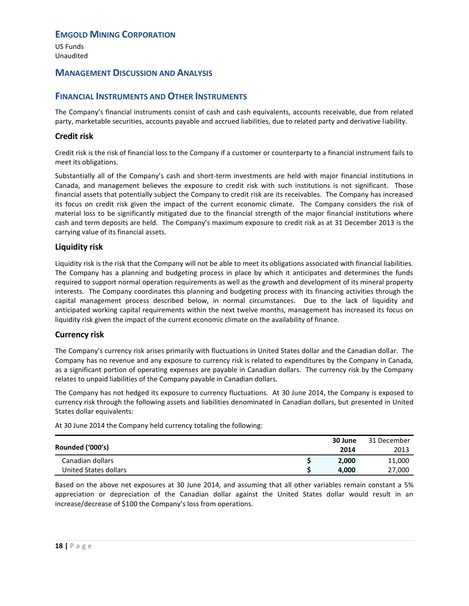US Funds Unaudited

### **MANAGEMENT DISCUSSION AND ANALYSIS**

### <span id="page-19-0"></span>**FINANCIAL INSTRUMENTS AND OTHER INSTRUMENTS**

The Company's financial instruments consist of cash and cash equivalents, accounts receivable, due from related party, marketable securities, accounts payable and accrued liabilities, due to related party and derivative liability.

#### **Credit risk**

Credit risk is the risk of financial loss to the Company if a customer or counterparty to a financial instrument fails to meet its obligations.

Substantially all of the Company's cash and short-term investments are held with major financial institutions in Canada, and management believes the exposure to credit risk with such institutions is not significant. Those financial assets that potentially subject the Company to credit risk are its receivables. The Company has increased its focus on credit risk given the impact of the current economic climate. The Company considers the risk of material loss to be significantly mitigated due to the financial strength of the major financial institutions where cash and term deposits are held. The Company's maximum exposure to credit risk as at 31 December 2013 is the carrying value of its financial assets.

#### **Liquidity risk**

Liquidity risk is the risk that the Company will not be able to meet its obligations associated with financial liabilities. The Company has a planning and budgeting process in place by which it anticipates and determines the funds required to support normal operation requirements as well as the growth and development of its mineral property interests. The Company coordinates this planning and budgeting process with its financing activities through the capital management process described below, in normal circumstances. Due to the lack of liquidity and anticipated working capital requirements within the next twelve months, management has increased its focus on liquidity risk given the impact of the current economic climate on the availability of finance.

#### **Currency risk**

The Company's currency risk arises primarily with fluctuations in United States dollar and the Canadian dollar. The Company has no revenue and any exposure to currency risk is related to expenditures by the Company in Canada, as a significant portion of operating expenses are payable in Canadian dollars. The currency risk by the Company relates to unpaid liabilities of the Company payable in Canadian dollars.

The Company has not hedged its exposure to currency fluctuations. At 30 June 2014, the Company is exposed to currency risk through the following assets and liabilities denominated in Canadian dollars, but presented in United States dollar equivalents:

At 30 June 2014 the Company held currency totaling the following:

|                       | 30 June | 31 December |
|-----------------------|---------|-------------|
| Rounded ('000's)      | 2014    | 2013        |
| Canadian dollars      | 2.000   | 11,000      |
| United States dollars | 4.000   | 27,000      |

Based on the above net exposures at 30 June 2014, and assuming that all other variables remain constant a 5% appreciation or depreciation of the Canadian dollar against the United States dollar would result in an increase/decrease of \$100 the Company's loss from operations.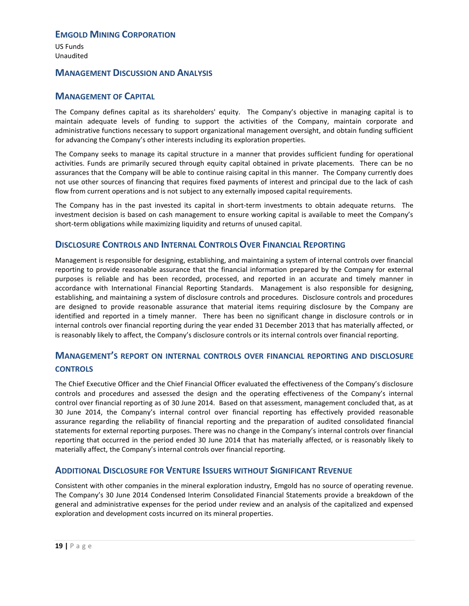US Funds Unaudited

### **MANAGEMENT DISCUSSION AND ANALYSIS**

# <span id="page-20-0"></span>**MANAGEMENT OF CAPITAL**

The Company defines capital as its shareholders' equity. The Company's objective in managing capital is to maintain adequate levels of funding to support the activities of the Company, maintain corporate and administrative functions necessary to support organizational management oversight, and obtain funding sufficient for advancing the Company's other interests including its exploration properties.

The Company seeks to manage its capital structure in a manner that provides sufficient funding for operational activities. Funds are primarily secured through equity capital obtained in private placements. There can be no assurances that the Company will be able to continue raising capital in this manner. The Company currently does not use other sources of financing that requires fixed payments of interest and principal due to the lack of cash flow from current operations and is not subject to any externally imposed capital requirements.

The Company has in the past invested its capital in short-term investments to obtain adequate returns. The investment decision is based on cash management to ensure working capital is available to meet the Company's short-term obligations while maximizing liquidity and returns of unused capital.

# <span id="page-20-1"></span>**DISCLOSURE CONTROLS AND INTERNAL CONTROLS OVER FINANCIAL REPORTING**

Management is responsible for designing, establishing, and maintaining a system of internal controls over financial reporting to provide reasonable assurance that the financial information prepared by the Company for external purposes is reliable and has been recorded, processed, and reported in an accurate and timely manner in accordance with International Financial Reporting Standards. Management is also responsible for designing, establishing, and maintaining a system of disclosure controls and procedures. Disclosure controls and procedures are designed to provide reasonable assurance that material items requiring disclosure by the Company are identified and reported in a timely manner. There has been no significant change in disclosure controls or in internal controls over financial reporting during the year ended 31 December 2013 that has materially affected, or is reasonably likely to affect, the Company's disclosure controls or its internal controls over financial reporting.

# **MANAGEMENT'S REPORT ON INTERNAL CONTROLS OVER FINANCIAL REPORTING AND DISCLOSURE CONTROLS**

The Chief Executive Officer and the Chief Financial Officer evaluated the effectiveness of the Company's disclosure controls and procedures and assessed the design and the operating effectiveness of the Company's internal control over financial reporting as of 30 June 2014. Based on that assessment, management concluded that, as at 30 June 2014, the Company's internal control over financial reporting has effectively provided reasonable assurance regarding the reliability of financial reporting and the preparation of audited consolidated financial statements for external reporting purposes. There was no change in the Company's internal controls over financial reporting that occurred in the period ended 30 June 2014 that has materially affected, or is reasonably likely to materially affect, the Company's internal controls over financial reporting.

### <span id="page-20-2"></span>**ADDITIONAL DISCLOSURE FOR VENTURE ISSUERS WITHOUT SIGNIFICANT REVENUE**

Consistent with other companies in the mineral exploration industry, Emgold has no source of operating revenue. The Company's 30 June 2014 Condensed Interim Consolidated Financial Statements provide a breakdown of the general and administrative expenses for the period under review and an analysis of the capitalized and expensed exploration and development costs incurred on its mineral properties.